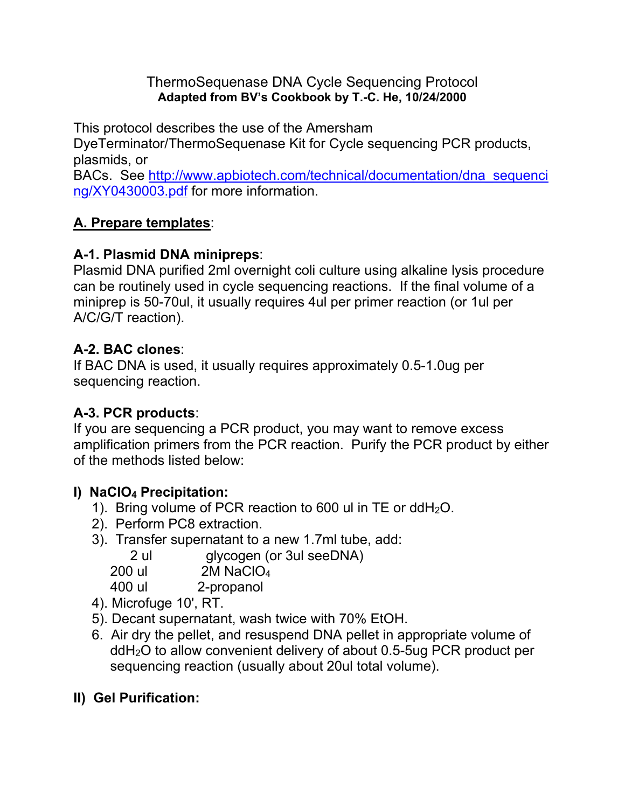#### ThermoSequenase DNA Cycle Sequencing Protocol **Adapted from BV's Cookbook by T.-C. He, 10/24/2000**

This protocol describes the use of the Amersham

DyeTerminator/ThermoSequenase Kit for Cycle sequencing PCR products, plasmids, or

BACs. See http://www.apbiotech.com/technical/documentation/dna\_sequenci ng/XY0430003.pdf for more information.

# **A. Prepare templates**:

### **A-1. Plasmid DNA minipreps**:

Plasmid DNA purified 2ml overnight coli culture using alkaline lysis procedure can be routinely used in cycle sequencing reactions. If the final volume of a miniprep is 50-70ul, it usually requires 4ul per primer reaction (or 1ul per A/C/G/T reaction).

# **A-2. BAC clones**:

If BAC DNA is used, it usually requires approximately 0.5-1.0ug per sequencing reaction.

### **A-3. PCR products**:

If you are sequencing a PCR product, you may want to remove excess amplification primers from the PCR reaction. Purify the PCR product by either of the methods listed below:

### **I) NaClO4 Precipitation:**

- 1). Bring volume of PCR reaction to 600 ul in TE or ddH $_2$ O.
- 2). Perform PC8 extraction.
- 3). Transfer supernatant to a new 1.7ml tube, add:

2 ul glycogen (or 3ul seeDNA)

200 ul 2M NaClO4

400 ul 2-propanol

- 4). Microfuge 10', RT.
- 5). Decant supernatant, wash twice with 70% EtOH.
- 6. Air dry the pellet, and resuspend DNA pellet in appropriate volume of ddH2O to allow convenient delivery of about 0.5-5ug PCR product per sequencing reaction (usually about 20ul total volume).

# **II) Gel Purification:**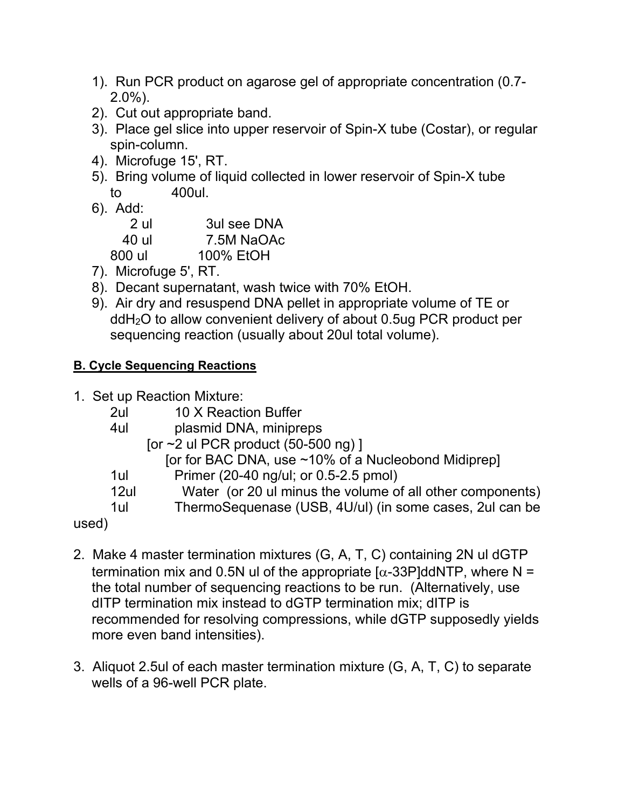- 1). Run PCR product on agarose gel of appropriate concentration (0.7- 2.0%).
- 2). Cut out appropriate band.
- 3). Place gel slice into upper reservoir of Spin-X tube (Costar), or regular spin-column.
- 4). Microfuge 15', RT.
- 5). Bring volume of liquid collected in lower reservoir of Spin-X tube to 400ul.
- 6). Add:

| $2$ ul | 3ul see DNA |
|--------|-------------|
| 40 ul  | 7.5M NaOAc  |
| 800 ul | 100% EtOH   |

- 7). Microfuge 5', RT.
- 8). Decant supernatant, wash twice with 70% EtOH.
- 9). Air dry and resuspend DNA pellet in appropriate volume of TE or ddH2O to allow convenient delivery of about 0.5ug PCR product per sequencing reaction (usually about 20ul total volume).

#### **B. Cycle Sequencing Reactions**

1. Set up Reaction Mixture:

| 2ul      | 10 X Reaction Buffer                                      |
|----------|-----------------------------------------------------------|
| 4ul      | plasmid DNA, minipreps                                    |
|          | [or $\sim$ 2 ul PCR product (50-500 ng)]                  |
|          | [or for BAC DNA, use ~10% of a Nucleobond Midiprep]       |
| 1ul      | Primer (20-40 ng/ul; or 0.5-2.5 pmol)                     |
| 12ul     | Water (or 20 ul minus the volume of all other components) |
| 1ul      | ThermoSequenase (USB, 4U/ul) (in some cases, 2ul can be   |
| $\cdots$ |                                                           |

used)

- 2. Make 4 master termination mixtures (G, A, T, C) containing 2N ul dGTP termination mix and 0.5N ul of the appropriate  $\alpha$ -33P]ddNTP, where N = the total number of sequencing reactions to be run. (Alternatively, use dITP termination mix instead to dGTP termination mix; dITP is recommended for resolving compressions, while dGTP supposedly yields more even band intensities).
- 3. Aliquot 2.5ul of each master termination mixture (G, A, T, C) to separate wells of a 96-well PCR plate.